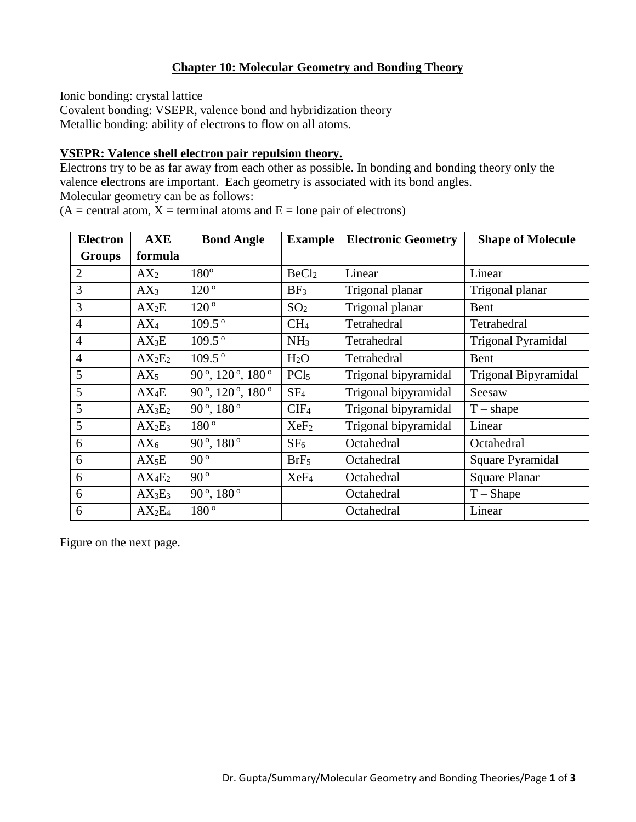# **Chapter 10: Molecular Geometry and Bonding Theory**

Ionic bonding: crystal lattice

Covalent bonding: VSEPR, valence bond and hybridization theory Metallic bonding: ability of electrons to flow on all atoms.

## **VSEPR: Valence shell electron pair repulsion theory.**

Electrons try to be as far away from each other as possible. In bonding and bonding theory only the valence electrons are important. Each geometry is associated with its bond angles. Molecular geometry can be as follows:

 $(A = central atom, X = terminal atoms and E = lone pair of electrons)$ 

| <b>Electron</b> | AXE               | <b>Bond Angle</b>              | <b>Example</b>    | <b>Electronic Geometry</b> | <b>Shape of Molecule</b>  |
|-----------------|-------------------|--------------------------------|-------------------|----------------------------|---------------------------|
| <b>Groups</b>   | formula           |                                |                   |                            |                           |
| $\overline{2}$  | AX <sub>2</sub>   | 180°                           | BeCl <sub>2</sub> | Linear                     | Linear                    |
| 3               | $AX_3$            | $120^{\circ}$                  | BF <sub>3</sub>   | Trigonal planar            | Trigonal planar           |
| 3               | $AX_2E$           | $120^{\circ}$                  | SO <sub>2</sub>   | Trigonal planar            | Bent                      |
| $\overline{4}$  | $AX_4$            | $109.5^{\circ}$                | CH <sub>4</sub>   | Tetrahedral                | Tetrahedral               |
| $\overline{4}$  | $AX_3E$           | $109.5^{\circ}$                | NH <sub>3</sub>   | Tetrahedral                | <b>Trigonal Pyramidal</b> |
| $\overline{4}$  | $AX_2E_2$         | $109.5^{\circ}$                | H <sub>2</sub> O  | Tetrahedral                | Bent                      |
| 5               | $AX_5$            | 90°, 120°, 180°                | PCl <sub>5</sub>  | Trigonal bipyramidal       | Trigonal Bipyramidal      |
| 5               | $AX_4E$           | 90°, 120°, 180°                | SF <sub>4</sub>   | Trigonal bipyramidal       | Seesaw                    |
| 5               | $AX_3E_2$         | 90 $^{\circ}$ , 180 $^{\circ}$ | CIF <sub>4</sub>  | Trigonal bipyramidal       | $T - shape$               |
| 5               | $AX_2E_3$         | 180 <sup>°</sup>               | XeF <sub>2</sub>  | Trigonal bipyramidal       | Linear                    |
| 6               | $AX_6$            | $90^{\circ}$ , $180^{\circ}$   | SF <sub>6</sub>   | Octahedral                 | Octahedral                |
| 6               | AX <sub>5</sub> E | $90^{\circ}$                   | BrF <sub>5</sub>  | Octahedral                 | Square Pyramidal          |
| 6               | $AX_4E_2$         | $90^{\circ}$                   | XeF <sub>4</sub>  | Octahedral                 | <b>Square Planar</b>      |
| 6               | $AX_3E_3$         | $90^{\circ}$ , $180^{\circ}$   |                   | Octahedral                 | $T - Shape$               |
| 6               | $AX_2E_4$         | 180°                           |                   | Octahedral                 | Linear                    |

Figure on the next page.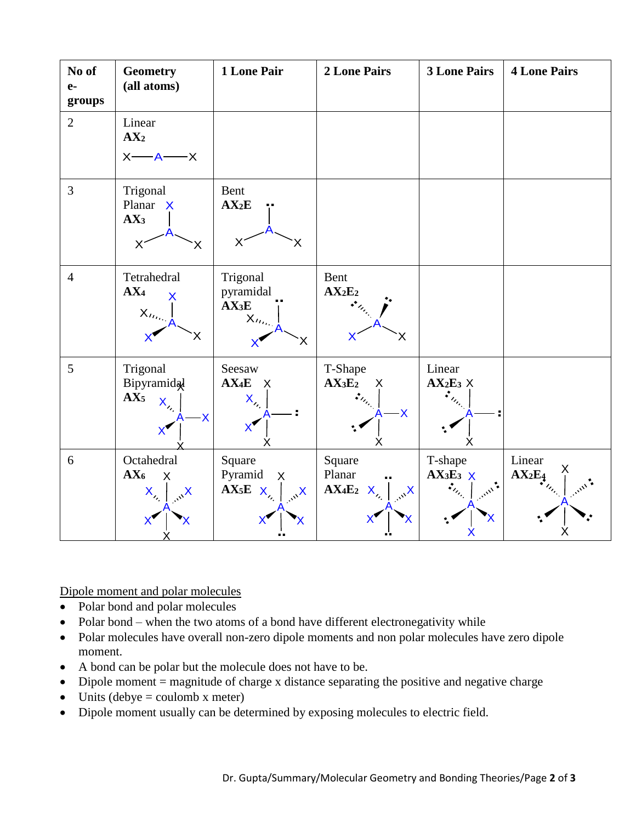

Dipole moment and polar molecules

- Polar bond and polar molecules
- Polar bond when the two atoms of a bond have different electronegativity while
- Polar molecules have overall non-zero dipole moments and non polar molecules have zero dipole moment.
- A bond can be polar but the molecule does not have to be.
- Dipole moment  $=$  magnitude of charge x distance separating the positive and negative charge
- Units (debye = coulomb x meter)
- Dipole moment usually can be determined by exposing molecules to electric field.